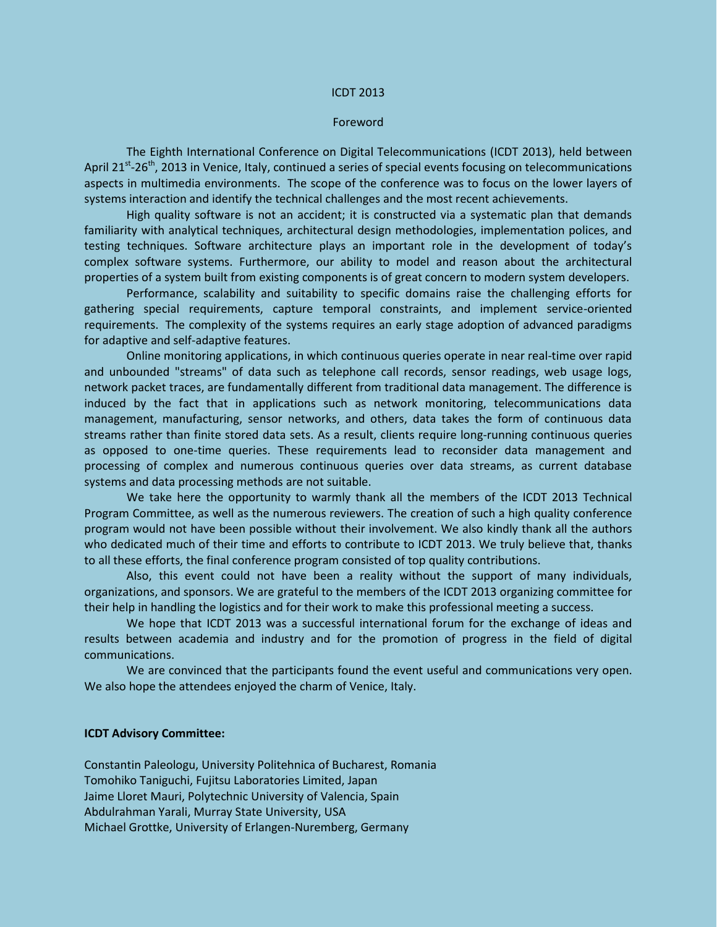## ICDT 2013

## Foreword

The Eighth International Conference on Digital Telecommunications (ICDT 2013), held between April 21<sup>st</sup>-26<sup>th</sup>, 2013 in Venice, Italy, continued a series of special events focusing on telecommunications aspects in multimedia environments. The scope of the conference was to focus on the lower layers of systems interaction and identify the technical challenges and the most recent achievements.

High quality software is not an accident; it is constructed via a systematic plan that demands familiarity with analytical techniques, architectural design methodologies, implementation polices, and testing techniques. Software architecture plays an important role in the development of today's complex software systems. Furthermore, our ability to model and reason about the architectural properties of a system built from existing components is of great concern to modern system developers.

Performance, scalability and suitability to specific domains raise the challenging efforts for gathering special requirements, capture temporal constraints, and implement service-oriented requirements. The complexity of the systems requires an early stage adoption of advanced paradigms for adaptive and self-adaptive features.

Online monitoring applications, in which continuous queries operate in near real-time over rapid and unbounded "streams" of data such as telephone call records, sensor readings, web usage logs, network packet traces, are fundamentally different from traditional data management. The difference is induced by the fact that in applications such as network monitoring, telecommunications data management, manufacturing, sensor networks, and others, data takes the form of continuous data streams rather than finite stored data sets. As a result, clients require long-running continuous queries as opposed to one-time queries. These requirements lead to reconsider data management and processing of complex and numerous continuous queries over data streams, as current database systems and data processing methods are not suitable.

We take here the opportunity to warmly thank all the members of the ICDT 2013 Technical Program Committee, as well as the numerous reviewers. The creation of such a high quality conference program would not have been possible without their involvement. We also kindly thank all the authors who dedicated much of their time and efforts to contribute to ICDT 2013. We truly believe that, thanks to all these efforts, the final conference program consisted of top quality contributions.

Also, this event could not have been a reality without the support of many individuals, organizations, and sponsors. We are grateful to the members of the ICDT 2013 organizing committee for their help in handling the logistics and for their work to make this professional meeting a success.

We hope that ICDT 2013 was a successful international forum for the exchange of ideas and results between academia and industry and for the promotion of progress in the field of digital communications.

We are convinced that the participants found the event useful and communications very open. We also hope the attendees enjoyed the charm of Venice, Italy.

## **ICDT Advisory Committee:**

Constantin Paleologu, University Politehnica of Bucharest, Romania Tomohiko Taniguchi, Fujitsu Laboratories Limited, Japan Jaime Lloret Mauri, Polytechnic University of Valencia, Spain Abdulrahman Yarali, Murray State University, USA Michael Grottke, University of Erlangen-Nuremberg, Germany